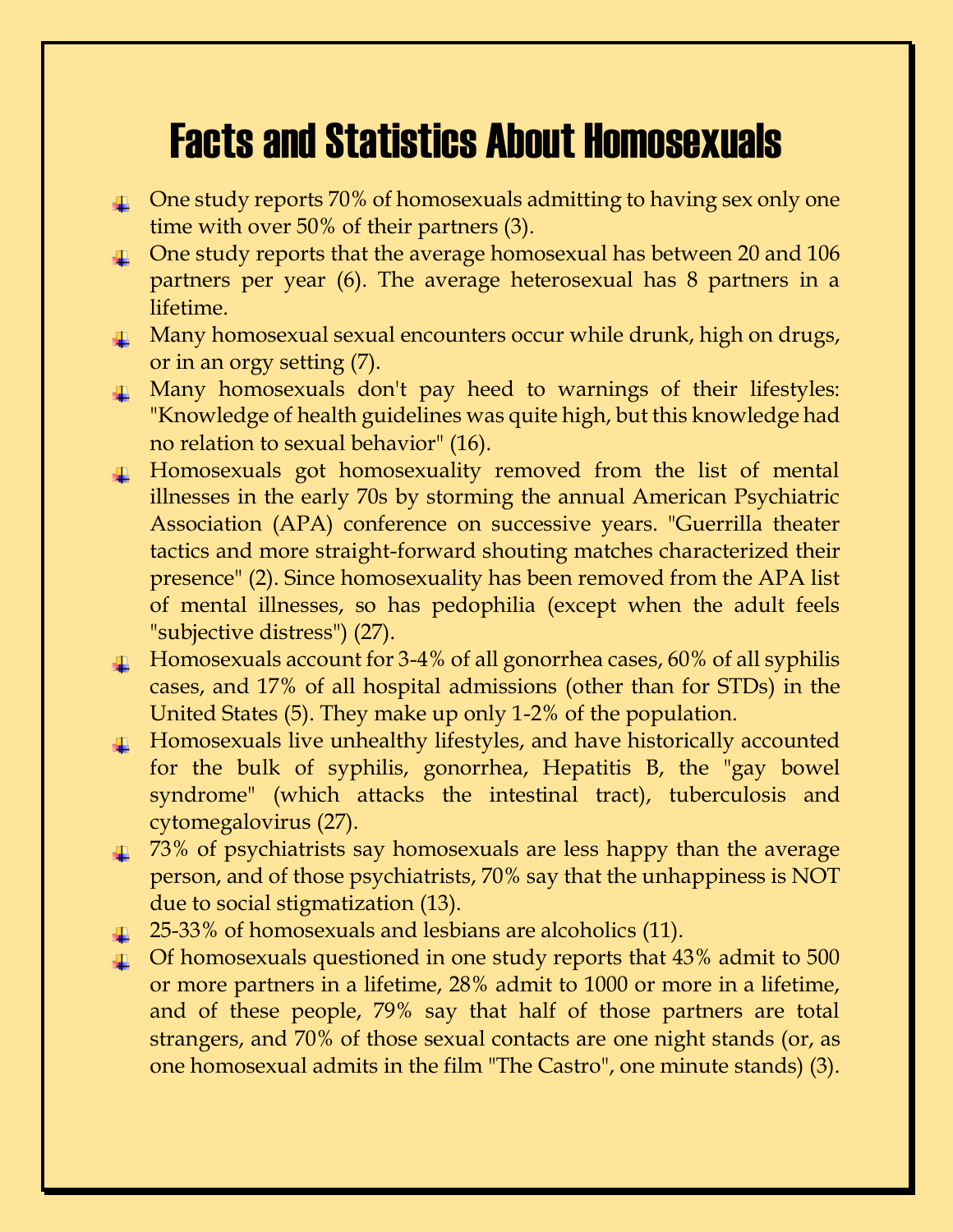# Facts and Statistics About Homosexuals

- **T** One study reports 70% of homosexuals admitting to having sex only one time with over 50% of their partners (3).
- **T** One study reports that the average homosexual has between 20 and 106 partners per year (6). The average heterosexual has 8 partners in a lifetime.
- **T** Many homosexual sexual encounters occur while drunk, high on drugs, or in an orgy setting (7).
- **T** Many homosexuals don't pay heed to warnings of their lifestyles: "Knowledge of health guidelines was quite high, but this knowledge had no relation to sexual behavior" (16).
- Homosexuals got homosexuality removed from the list of mental illnesses in the early 70s by storming the annual American Psychiatric Association (APA) conference on successive years. "Guerrilla theater tactics and more straight-forward shouting matches characterized their presence" (2). Since homosexuality has been removed from the APA list of mental illnesses, so has pedophilia (except when the adult feels "subjective distress") (27).
- $\perp$  Homosexuals account for 3-4% of all gonorrhea cases, 60% of all syphilis cases, and 17% of all hospital admissions (other than for STDs) in the United States (5). They make up only 1-2% of the population.
- $\downarrow$  Homosexuals live unhealthy lifestyles, and have historically accounted for the bulk of syphilis, gonorrhea, Hepatitis B, the "gay bowel syndrome" (which attacks the intestinal tract), tuberculosis and cytomegalovirus (27).
- $\pm$  73% of psychiatrists say homosexuals are less happy than the average person, and of those psychiatrists, 70% say that the unhappiness is NOT due to social stigmatization (13).
- $\perp$  25-33% of homosexuals and lesbians are alcoholics (11).
- $\perp$  Of homosexuals questioned in one study reports that 43% admit to 500 or more partners in a lifetime, 28% admit to 1000 or more in a lifetime, and of these people, 79% say that half of those partners are total strangers, and 70% of those sexual contacts are one night stands (or, as one homosexual admits in the film "The Castro", one minute stands) (3).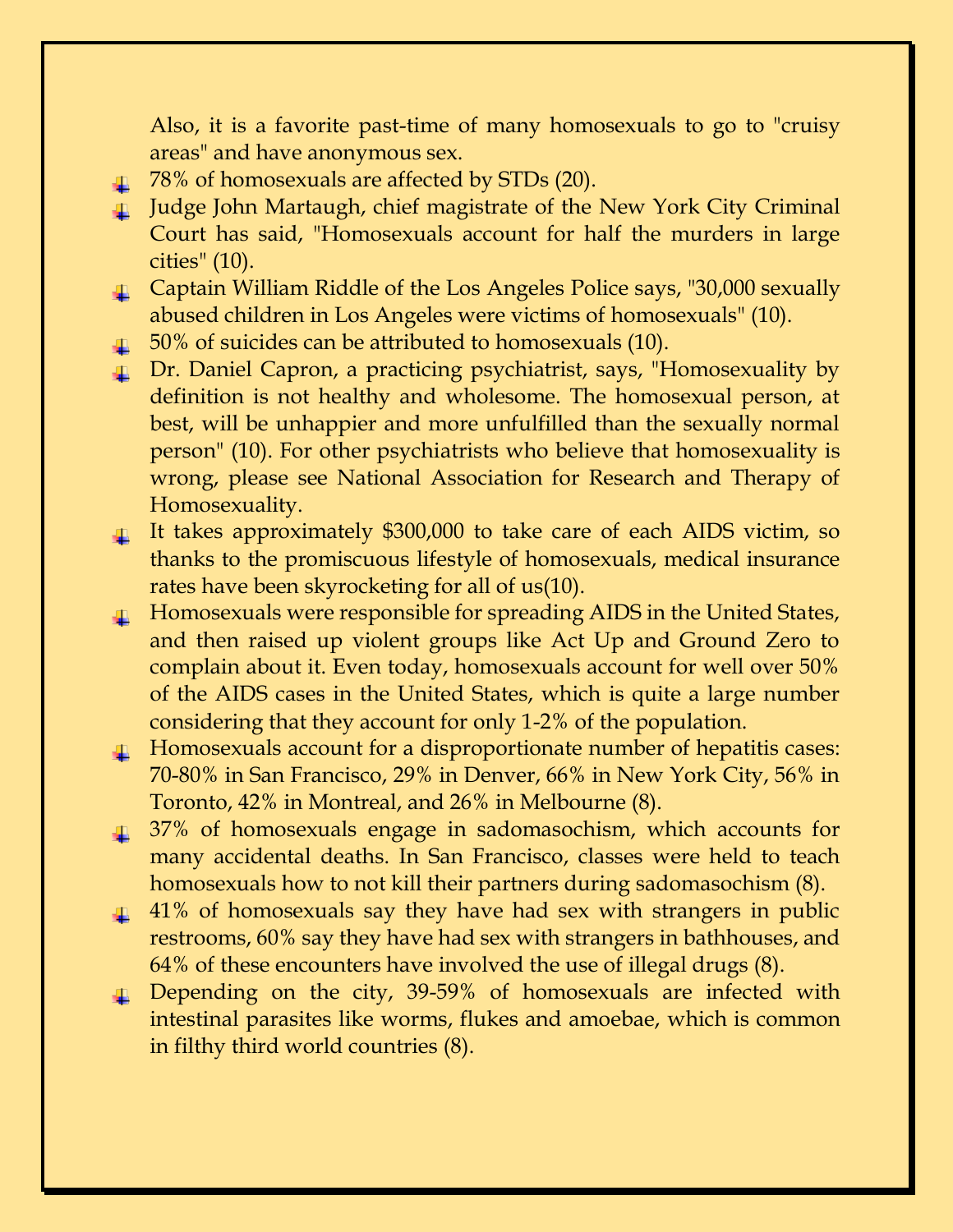Also, it is a favorite past-time of many homosexuals to go to "cruisy areas" and have anonymous sex.

- 4 78% of homosexuals are affected by STDs (20).
- Judge John Martaugh, chief magistrate of the New York City Criminal Court has said, "Homosexuals account for half the murders in large cities" (10).
- **L** Captain William Riddle of the Los Angeles Police says, "30,000 sexually abused children in Los Angeles were victims of homosexuals" (10).
- $\pm$  50% of suicides can be attributed to homosexuals (10).
- **1** Dr. Daniel Capron, a practicing psychiatrist, says, "Homosexuality by definition is not healthy and wholesome. The homosexual person, at best, will be unhappier and more unfulfilled than the sexually normal person" (10). For other psychiatrists who believe that homosexuality is wrong, please see National Association for Research and Therapy of Homosexuality.
- It takes approximately \$300,000 to take care of each AIDS victim, so thanks to the promiscuous lifestyle of homosexuals, medical insurance rates have been skyrocketing for all of us(10).
- **Homosexuals were responsible for spreading AIDS in the United States,** and then raised up violent groups like Act Up and Ground Zero to complain about it. Even today, homosexuals account for well over 50% of the AIDS cases in the United States, which is quite a large number considering that they account for only 1-2% of the population.
- Homosexuals account for a disproportionate number of hepatitis cases: 70-80% in San Francisco, 29% in Denver, 66% in New York City, 56% in Toronto, 42% in Montreal, and 26% in Melbourne (8).
- 37% of homosexuals engage in sadomasochism, which accounts for many accidental deaths. In San Francisco, classes were held to teach homosexuals how to not kill their partners during sadomasochism (8).
- $\pm$  41% of homosexuals say they have had sex with strangers in public restrooms, 60% say they have had sex with strangers in bathhouses, and 64% of these encounters have involved the use of illegal drugs (8).
- **1** Depending on the city, 39-59% of homosexuals are infected with intestinal parasites like worms, flukes and amoebae, which is common in filthy third world countries (8).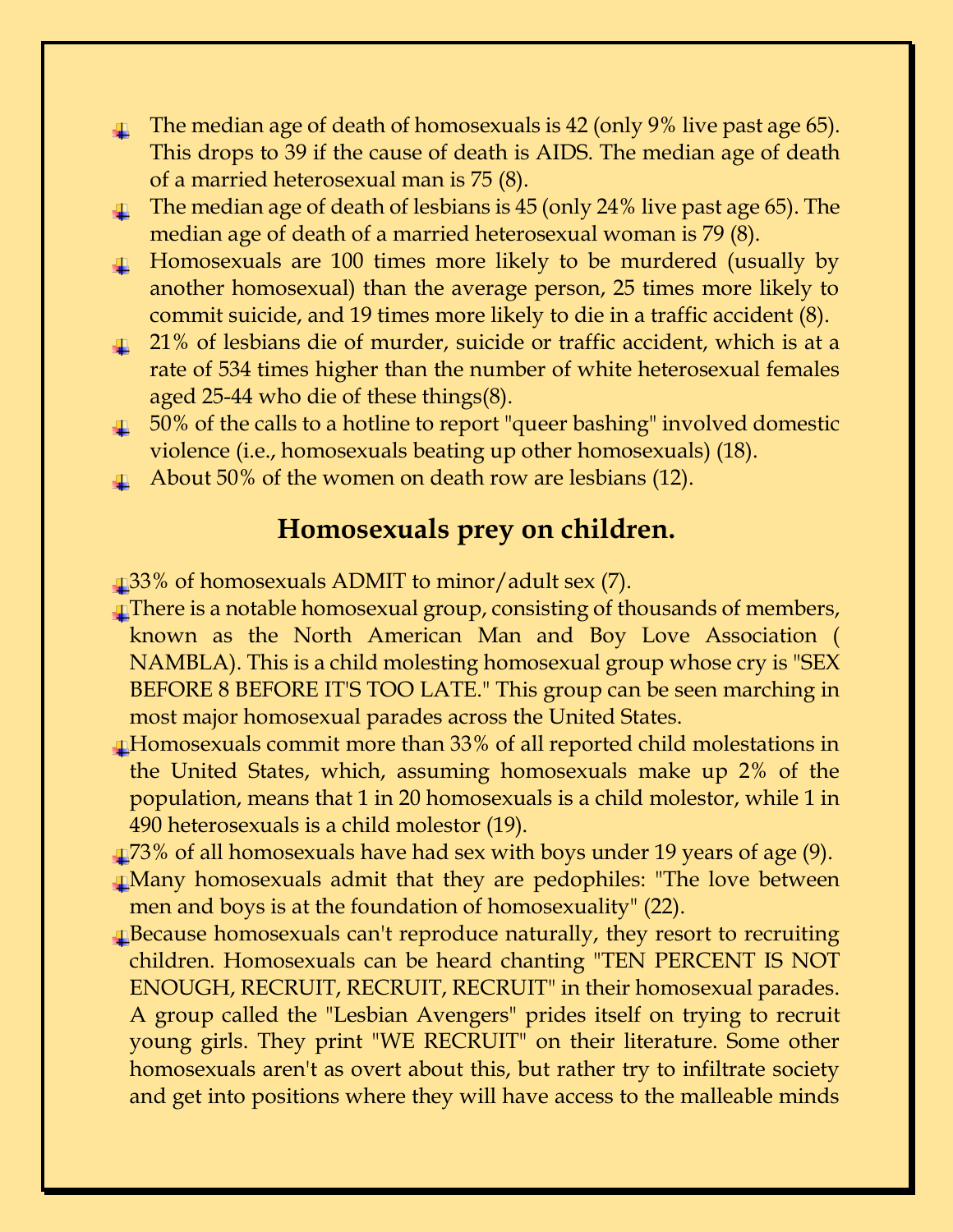- $\perp$  The median age of death of homosexuals is 42 (only 9% live past age 65). This drops to 39 if the cause of death is AIDS. The median age of death of a married heterosexual man is 75 (8).
- The median age of death of lesbians is 45 (only 24% live past age 65). The median age of death of a married heterosexual woman is 79 (8).
- **Homosexuals are 100 times more likely to be murdered (usually by** another homosexual) than the average person, 25 times more likely to commit suicide, and 19 times more likely to die in a traffic accident (8).
- <sup>1</sup> 21% of lesbians die of murder, suicide or traffic accident, which is at a rate of 534 times higher than the number of white heterosexual females aged 25-44 who die of these things(8).
- $\perp$  50% of the calls to a hotline to report "queer bashing" involved domestic violence (i.e., homosexuals beating up other homosexuals) (18).
- $\perp$  About 50% of the women on death row are lesbians (12).

# **Homosexuals prey on children.**

33% of homosexuals ADMIT to minor/adult sex (7).

- There is a notable homosexual group, consisting of thousands of members, known as the North American Man and Boy Love Association ( NAMBLA). This is a child molesting homosexual group whose cry is "SEX BEFORE 8 BEFORE IT'S TOO LATE." This group can be seen marching in most major homosexual parades across the United States.
- Homosexuals commit more than 33% of all reported child molestations in the United States, which, assuming homosexuals make up 2% of the population, means that 1 in 20 homosexuals is a child molestor, while 1 in 490 heterosexuals is a child molestor (19).
- 173% of all homosexuals have had sex with boys under 19 years of age (9).
- Many homosexuals admit that they are pedophiles: "The love between men and boys is at the foundation of homosexuality" (22).
- Because homosexuals can't reproduce naturally, they resort to recruiting children. Homosexuals can be heard chanting "TEN PERCENT IS NOT ENOUGH, RECRUIT, RECRUIT, RECRUIT" in their homosexual parades. A group called the "Lesbian Avengers" prides itself on trying to recruit young girls. They print "WE RECRUIT" on their literature. Some other homosexuals aren't as overt about this, but rather try to infiltrate society and get into positions where they will have access to the malleable minds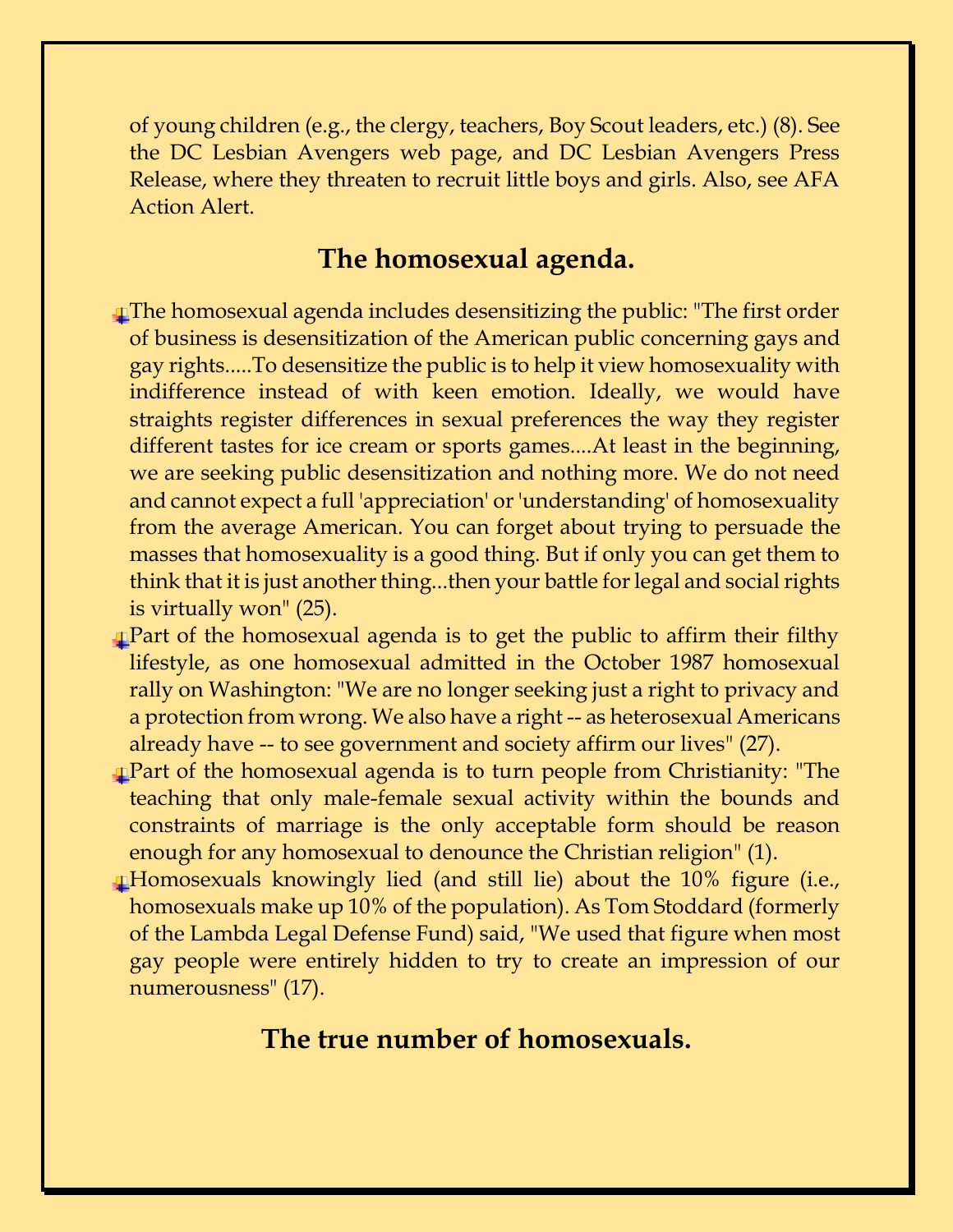of young children (e.g., the clergy, teachers, Boy Scout leaders, etc.) (8). See the DC Lesbian Avengers web page, and DC Lesbian Avengers Press Release, where they threaten to recruit little boys and girls. Also, see AFA Action Alert.

#### **The homosexual agenda.**

- The homosexual agenda includes desensitizing the public: "The first order of business is desensitization of the American public concerning gays and gay rights.....To desensitize the public is to help it view homosexuality with indifference instead of with keen emotion. Ideally, we would have straights register differences in sexual preferences the way they register different tastes for ice cream or sports games....At least in the beginning, we are seeking public desensitization and nothing more. We do not need and cannot expect a full 'appreciation' or 'understanding' of homosexuality from the average American. You can forget about trying to persuade the masses that homosexuality is a good thing. But if only you can get them to think that it is just another thing...then your battle for legal and social rights is virtually won" (25).
- Part of the homosexual agenda is to get the public to affirm their filthy lifestyle, as one homosexual admitted in the October 1987 homosexual rally on Washington: "We are no longer seeking just a right to privacy and a protection from wrong. We also have a right -- as heterosexual Americans already have -- to see government and society affirm our lives" (27).
- **Part of the homosexual agenda is to turn people from Christianity: "The** teaching that only male-female sexual activity within the bounds and constraints of marriage is the only acceptable form should be reason enough for any homosexual to denounce the Christian religion" (1).
- Homosexuals knowingly lied (and still lie) about the 10% figure (i.e., homosexuals make up 10% of the population). As Tom Stoddard (formerly of the Lambda Legal Defense Fund) said, "We used that figure when most gay people were entirely hidden to try to create an impression of our numerousness" (17).

### **The true number of homosexuals.**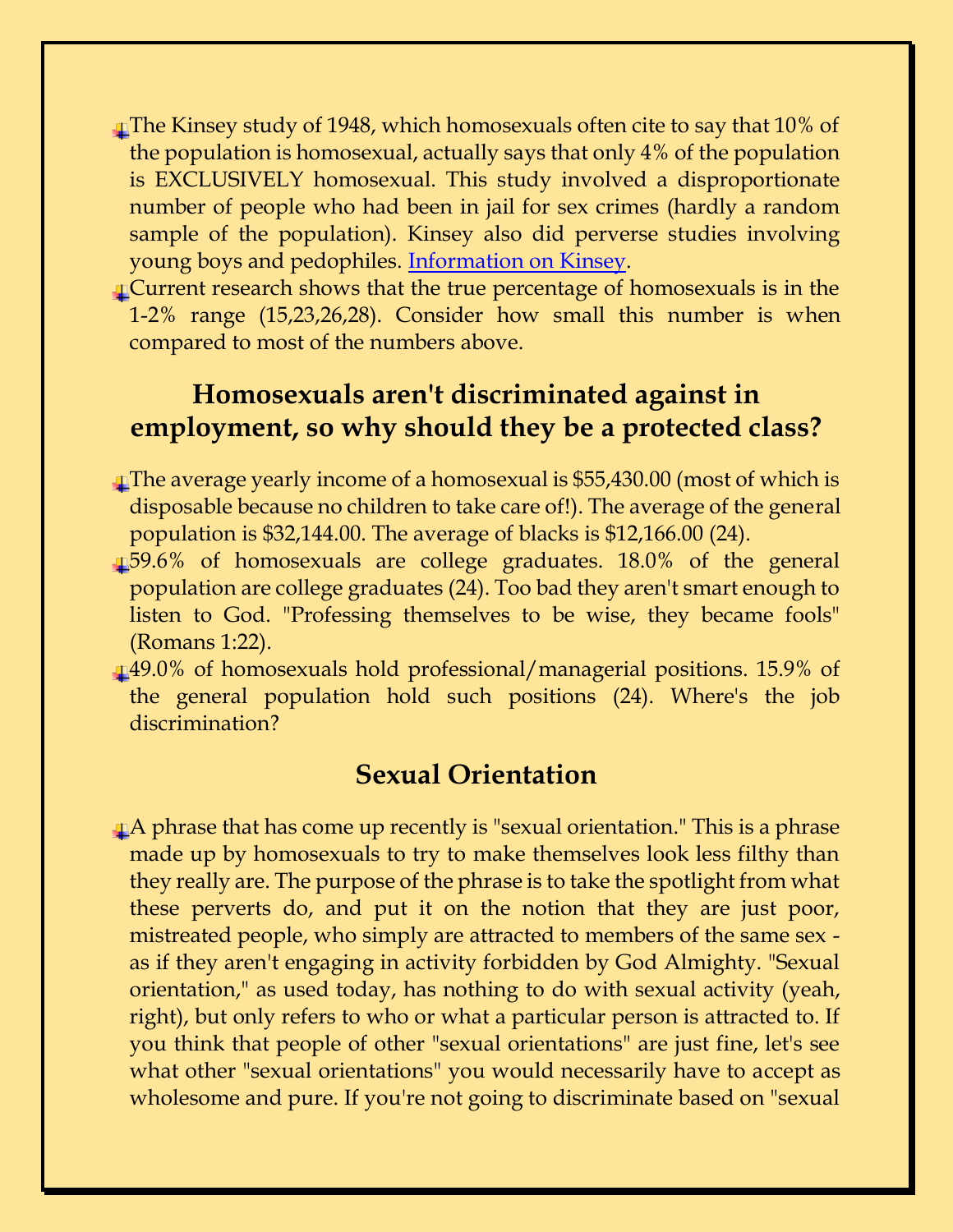- The Kinsey study of 1948, which homosexuals often cite to say that 10% of the population is homosexual, actually says that only 4% of the population is EXCLUSIVELY homosexual. This study involved a disproportionate number of people who had been in jail for sex crimes (hardly a random sample of the population). Kinsey also did perverse studies involving young boys and pedophiles. [Information on Kinsey.](http://www.southbank-university.ac.uk/u126%20~stafflag/kinsey.htm)
- Current research shows that the true percentage of homosexuals is in the 1-2% range (15,23,26,28). Consider how small this number is when compared to most of the numbers above.

# **Homosexuals aren't discriminated against in employment, so why should they be a protected class?**

- The average yearly income of a homosexual is \$55,430.00 (most of which is disposable because no children to take care of!). The average of the general population is \$32,144.00. The average of blacks is \$12,166.00 (24).
- 59.6% of homosexuals are college graduates. 18.0% of the general population are college graduates (24). Too bad they aren't smart enough to listen to God. "Professing themselves to be wise, they became fools" (Romans 1:22).
- 49.0% of homosexuals hold professional/managerial positions. 15.9% of the general population hold such positions (24). Where's the job discrimination?

# **Sexual Orientation**

A phrase that has come up recently is "sexual orientation." This is a phrase made up by homosexuals to try to make themselves look less filthy than they really are. The purpose of the phrase is to take the spotlight from what these perverts do, and put it on the notion that they are just poor, mistreated people, who simply are attracted to members of the same sex as if they aren't engaging in activity forbidden by God Almighty. "Sexual orientation," as used today, has nothing to do with sexual activity (yeah, right), but only refers to who or what a particular person is attracted to. If you think that people of other "sexual orientations" are just fine, let's see what other "sexual orientations" you would necessarily have to accept as wholesome and pure. If you're not going to discriminate based on "sexual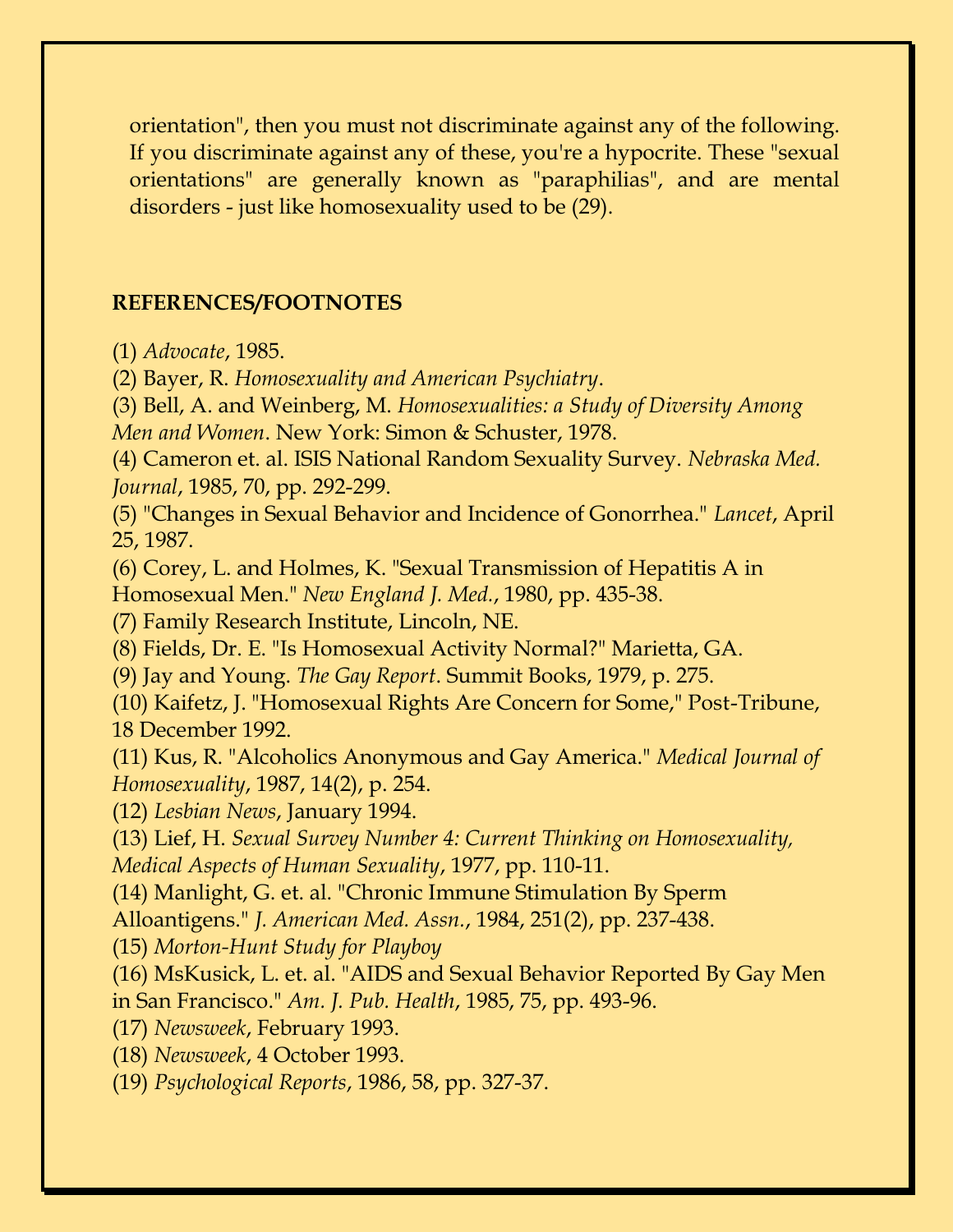orientation", then you must not discriminate against any of the following. If you discriminate against any of these, you're a hypocrite. These "sexual orientations" are generally known as "paraphilias", and are mental disorders - just like homosexuality used to be (29).

#### **REFERENCES/FOOTNOTES**

(1) *Advocate*, 1985.

(2) Bayer, R. *Homosexuality and American Psychiatry*.

(3) Bell, A. and Weinberg, M. *Homosexualities: a Study of Diversity Among* 

*Men and Women*. New York: Simon & Schuster, 1978.

(4) Cameron et. al. ISIS National Random Sexuality Survey. *Nebraska Med. Journal*, 1985, 70, pp. 292-299.

(5) "Changes in Sexual Behavior and Incidence of Gonorrhea." *Lancet*, April 25, 1987.

(6) Corey, L. and Holmes, K. "Sexual Transmission of Hepatitis A in Homosexual Men." *New England J. Med.*, 1980, pp. 435-38.

(7) Family Research Institute, Lincoln, NE.

(8) Fields, Dr. E. "Is Homosexual Activity Normal?" Marietta, GA.

(9) Jay and Young. *The Gay Report*. Summit Books, 1979, p. 275.

(10) Kaifetz, J. "Homosexual Rights Are Concern for Some," Post-Tribune, 18 December 1992.

(11) Kus, R. "Alcoholics Anonymous and Gay America." *Medical Journal of Homosexuality*, 1987, 14(2), p. 254.

(12) *Lesbian News*, January 1994.

(13) Lief, H. *Sexual Survey Number 4: Current Thinking on Homosexuality, Medical Aspects of Human Sexuality*, 1977, pp. 110-11.

(14) Manlight, G. et. al. "Chronic Immune Stimulation By Sperm

Alloantigens." *J. American Med. Assn.*, 1984, 251(2), pp. 237-438.

(15) *Morton-Hunt Study for Playboy*

(16) MsKusick, L. et. al. "AIDS and Sexual Behavior Reported By Gay Men in San Francisco." *Am. J. Pub. Health*, 1985, 75, pp. 493-96.

(17) *Newsweek*, February 1993.

(18) *Newsweek*, 4 October 1993.

(19) *Psychological Reports*, 1986, 58, pp. 327-37.